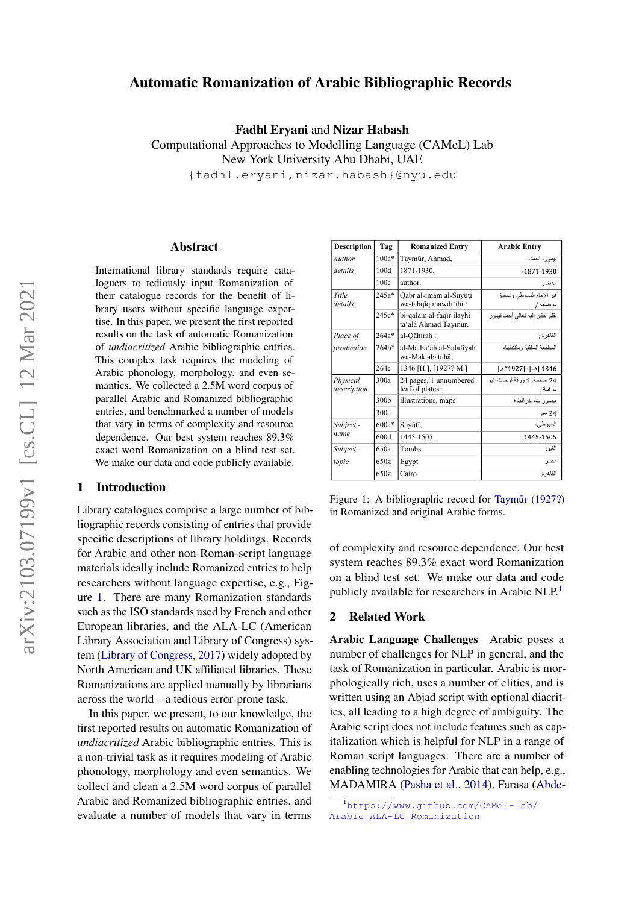# Automatic Romanization of Arabic Bibliographic Records

Fadhl Eryani and Nizar Habash

Computational Approaches to Modelling Language (CAMeL) Lab New York University Abu Dhabi, UAE {fadhl.eryani,nizar.habash}@nyu.edu

#### Abstract

International library standards require cataloguers to tediously input Romanization of their catalogue records for the benefit of library users without specific language expertise. In this paper, we present the first reported results on the task of automatic Romanization of *undiacritized* Arabic bibliographic entries. This complex task requires the modeling of Arabic phonology, morphology, and even semantics. We collected a 2.5M word corpus of parallel Arabic and Romanized bibliographic entries, and benchmarked a number of models that vary in terms of complexity and resource dependence. Our best system reaches 89.3% exact word Romanization on a blind test set. We make our data and code publicly available.

## 1 Introduction

Library catalogues comprise a large number of bibliographic records consisting of entries that provide specific descriptions of library holdings. Records for Arabic and other non-Roman-script language materials ideally include Romanized entries to help researchers without language expertise, e.g., Figure [1.](#page-0-0) There are many Romanization standards such as the ISO standards used by French and other European libraries, and the ALA-LC (American Library Association and Library of Congress) system [\(Library of Congress,](#page-5-0) [2017\)](#page-5-0) widely adopted by North American and UK affiliated libraries. These Romanizations are applied manually by librarians across the world – a tedious error-prone task.

In this paper, we present, to our knowledge, the first reported results on automatic Romanization of *undiacritized* Arabic bibliographic entries. This is a non-trivial task as it requires modeling of Arabic phonology, morphology and even semantics. We collect and clean a 2.5M word corpus of parallel Arabic and Romanized bibliographic entries, and evaluate a number of models that vary in terms

<span id="page-0-0"></span>

| <b>Description</b>      | Tag                                                        | <b>Romanized Entry</b>                           | <b>Arabic Entry</b>                   |
|-------------------------|------------------------------------------------------------|--------------------------------------------------|---------------------------------------|
| Author                  | $100a*$                                                    | Taymūr, Ahmad,                                   | تبمور ، احمد،                         |
| details                 | 100d                                                       | 1871-1930.                                       | 1871-1930                             |
|                         | 100e                                                       | author.                                          | مؤلف                                  |
| Title<br>details        | $245a*$<br>Oabr al-imām al-Suvūtī<br>wa-tahqiq mawdi'ihi / |                                                  | قبر الإمام السيوطي وتحقيق<br>موضعه /  |
|                         | $245c*$                                                    | bi-qalam al-faqīr ilayhi<br>ta'ālá Ahmad Taymūr. | بقلم الفقير اليه تعالى أحمد تيمو ر    |
| Place of                | $264a*$                                                    | al-Oāhirah:                                      | القاهر ة                              |
| production              | $264h*$                                                    | al-Matba'ah al-Salafīyah<br>wa-Maktabatuhā,      | المطنعة السلفية ومكتنتهاء             |
|                         | 264c                                                       | 1346 [H.], [1927? M.]                            | 1346 [هـ ]، [1927؟ م.]                |
| Physical<br>description | 300a                                                       | 24 pages, 1 unnumbered<br>leaf of plates :       | 24 صفحة، 1 ورقة لوحات غير<br>مر قمة : |
|                         | 300 <sub>b</sub>                                           | illustrations, maps                              | مصور ات، خر ائط ؛                     |
|                         | 300c                                                       |                                                  | 24 سم                                 |
| Subject-                | $600a*$                                                    | Suyūțī,                                          | السيوطي،                              |
| name                    | 600d                                                       | 1445-1505                                        | 1445-1505                             |
| Subject-                | 650a                                                       | Tombs                                            | القبو ر                               |
| topic                   | 650z                                                       | Egypt                                            | مصر                                   |
|                         | 650z                                                       | Cairo.                                           | القاهر ة                              |

Figure 1: A bibliographic record for Taymūr [\(1927?\)](#page-5-1) in Romanized and original Arabic forms.

of complexity and resource dependence. Our best system reaches 89.3% exact word Romanization on a blind test set. We make our data and code publicly available for researchers in Arabic NLP.<sup>[1](#page-0-1)</sup>

## 2 Related Work

Arabic Language Challenges Arabic poses a number of challenges for NLP in general, and the task of Romanization in particular. Arabic is morphologically rich, uses a number of clitics, and is written using an Abjad script with optional diacritics, all leading to a high degree of ambiguity. The Arabic script does not include features such as capitalization which is helpful for NLP in a range of Roman script languages. There are a number of enabling technologies for Arabic that can help, e.g., MADAMIRA [\(Pasha et al.,](#page-5-2) [2014\)](#page-5-2), Farasa [\(Abde-](#page-5-3)

<span id="page-0-1"></span><sup>1</sup>[https://www.github.com/CAMeL-Lab/](#page-5-3) [Arabic\\_ALA-LC\\_Romanization](#page-5-3)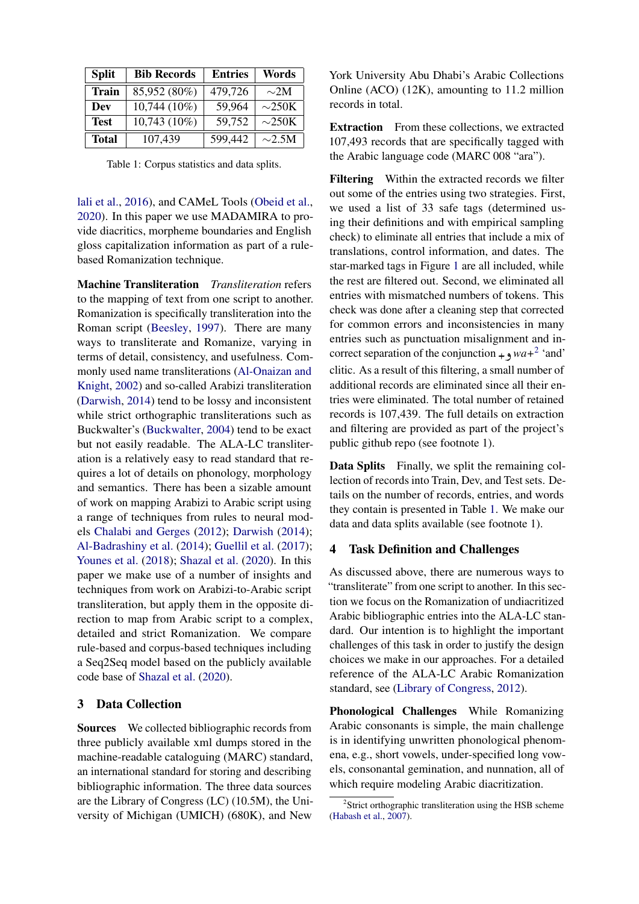<span id="page-1-1"></span>

| <b>Split</b> | <b>Bib Records</b> | <b>Entries</b> | Words       |
|--------------|--------------------|----------------|-------------|
| <b>Train</b> | 85,952 (80%)       | 479,726        | $\sim$ 2M   |
| Dev          | 10,744 (10%)       | 59,964         | $\sim$ 250K |
| <b>Test</b>  | 10,743 (10%)       | 59,752         | $\sim$ 250K |
| <b>Total</b> | 107,439            | 599,442        | $\sim$ 2.5M |

Table 1: Corpus statistics and data splits.

[lali et al.,](#page-5-3) [2016\)](#page-5-3), and CAMeL Tools [\(Obeid et al.,](#page-5-4) [2020\)](#page-5-4). In this paper we use MADAMIRA to provide diacritics, morpheme boundaries and English gloss capitalization information as part of a rulebased Romanization technique.

Machine Transliteration *Transliteration* refers to the mapping of text from one script to another. Romanization is specifically transliteration into the Roman script [\(Beesley,](#page-5-5) [1997\)](#page-5-5). There are many ways to transliterate and Romanize, varying in terms of detail, consistency, and usefulness. Commonly used name transliterations [\(Al-Onaizan and](#page-5-6) [Knight,](#page-5-6) [2002\)](#page-5-6) and so-called Arabizi transliteration [\(Darwish,](#page-5-7) [2014\)](#page-5-7) tend to be lossy and inconsistent while strict orthographic transliterations such as Buckwalter's [\(Buckwalter,](#page-5-8) [2004\)](#page-5-8) tend to be exact but not easily readable. The ALA-LC transliteration is a relatively easy to read standard that requires a lot of details on phonology, morphology and semantics. There has been a sizable amount of work on mapping Arabizi to Arabic script using a range of techniques from rules to neural models [Chalabi and Gerges](#page-5-9) [\(2012\)](#page-5-9); [Darwish](#page-5-7) [\(2014\)](#page-5-7); [Al-Badrashiny et al.](#page-5-10) [\(2014\)](#page-5-10); [Guellil et al.](#page-5-11) [\(2017\)](#page-5-11); [Younes et al.](#page-5-12) [\(2018\)](#page-5-12); [Shazal et al.](#page-5-13) [\(2020\)](#page-5-13). In this paper we make use of a number of insights and techniques from work on Arabizi-to-Arabic script transliteration, but apply them in the opposite direction to map from Arabic script to a complex, detailed and strict Romanization. We compare rule-based and corpus-based techniques including a Seq2Seq model based on the publicly available code base of [Shazal et al.](#page-5-13) [\(2020\)](#page-5-13).

## <span id="page-1-2"></span>3 Data Collection

Sources We collected bibliographic records from three publicly available xml dumps stored in the machine-readable cataloguing (MARC) standard, an international standard for storing and describing bibliographic information. The three data sources are the Library of Congress (LC) (10.5M), the University of Michigan (UMICH) (680K), and New York University Abu Dhabi's Arabic Collections Online (ACO) (12K), amounting to 11.2 million records in total.

Extraction From these collections, we extracted 107,493 records that are specifically tagged with the Arabic language code (MARC 008 "ara").

Filtering Within the extracted records we filter out some of the entries using two strategies. First, we used a list of 33 safe tags (determined using their definitions and with empirical sampling check) to eliminate all entries that include a mix of translations, control information, and dates. The star-marked tags in Figure [1](#page-0-0) are all included, while the rest are filtered out. Second, we eliminated all entries with mismatched numbers of tokens. This check was done after a cleaning step that corrected for common errors and inconsistencies in many entries such as punctuation misalignment and incorrect separation of the conjunction  $+ \gamma w a + 2$  $+ \gamma w a + 2$  'and' clitic. As a result of this filtering, a small number of additional records are eliminated since all their entries were eliminated. The total number of retained records is 107,439. The full details on extraction and filtering are provided as part of the project's public github repo (see footnote 1).

Data Splits Finally, we split the remaining collection of records into Train, Dev, and Test sets. Details on the number of records, entries, and words they contain is presented in Table [1.](#page-1-1) We make our data and data splits available (see footnote 1).

## 4 Task Definition and Challenges

As discussed above, there are numerous ways to "transliterate" from one script to another. In this section we focus on the Romanization of undiacritized Arabic bibliographic entries into the ALA-LC standard. Our intention is to highlight the important challenges of this task in order to justify the design choices we make in our approaches. For a detailed reference of the ALA-LC Arabic Romanization standard, see [\(Library of Congress,](#page-5-14) [2012\)](#page-5-14).

Phonological Challenges While Romanizing Arabic consonants is simple, the main challenge is in identifying unwritten phonological phenomena, e.g., short vowels, under-specified long vowels, consonantal gemination, and nunnation, all of which require modeling Arabic diacritization.

<span id="page-1-0"></span><sup>&</sup>lt;sup>2</sup>Strict orthographic transliteration using the HSB scheme [\(Habash et al.,](#page-5-15) [2007\)](#page-5-15).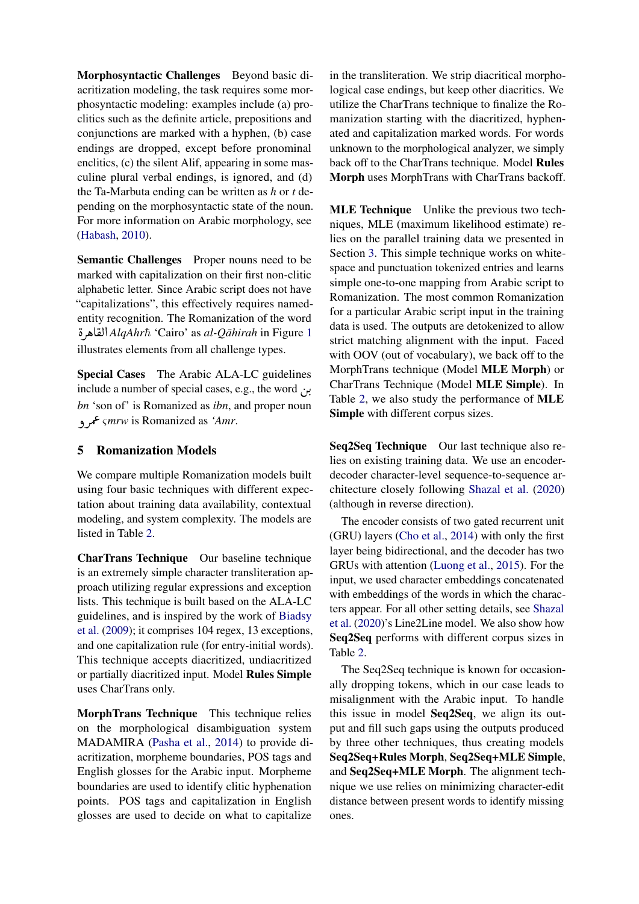Morphosyntactic Challenges Beyond basic diacritization modeling, the task requires some morphosyntactic modeling: examples include (a) proclitics such as the definite article, prepositions and conjunctions are marked with a hyphen, (b) case endings are dropped, except before pronominal enclitics, (c) the silent Alif, appearing in some masculine plural verbal endings, is ignored, and (d) the Ta-Marbuta ending can be written as *h* or *t* depending on the morphosyntactic state of the noun. For more information on Arabic morphology, see [\(Habash,](#page-5-16) [2010\)](#page-5-16).

Semantic Challenges Proper nouns need to be marked with capitalization on their first non-clitic alphabetic letter. Since Arabic script does not have "capitalizations", this effectively requires namedentity recognition. The Romanization of the word<br>*AlaAhrħ* 'Cairo' as *al-Oāhirah* in Figure 1 ألقاه  $\ddot{ }$ ®Ë@ *AlqAhr*¯<sup>h</sup> 'Cairo' as *al-Qahirah ¯* in Figure [1](#page-0-0) illustrates elements from all challenge types.

Special Cases The Arabic ALA-LC guidelines include a number of special cases, e.g., the word  $\mu$ . *bn* 'son of' is Romanized as *ibn*, and proper noun ðQÔ« <sup>ς</sup>*mrw* is Romanized as *'Amr*.

## 5 Romanization Models

We compare multiple Romanization models built using four basic techniques with different expectation about training data availability, contextual modeling, and system complexity. The models are listed in Table [2.](#page-3-0)

CharTrans Technique Our baseline technique is an extremely simple character transliteration approach utilizing regular expressions and exception lists. This technique is built based on the ALA-LC guidelines, and is inspired by the work of [Biadsy](#page-5-17) [et al.](#page-5-17) [\(2009\)](#page-5-17); it comprises 104 regex, 13 exceptions, and one capitalization rule (for entry-initial words). This technique accepts diacritized, undiacritized or partially diacritized input. Model Rules Simple uses CharTrans only.

MorphTrans Technique This technique relies on the morphological disambiguation system MADAMIRA [\(Pasha et al.,](#page-5-2) [2014\)](#page-5-2) to provide diacritization, morpheme boundaries, POS tags and English glosses for the Arabic input. Morpheme boundaries are used to identify clitic hyphenation points. POS tags and capitalization in English glosses are used to decide on what to capitalize in the transliteration. We strip diacritical morphological case endings, but keep other diacritics. We utilize the CharTrans technique to finalize the Romanization starting with the diacritized, hyphenated and capitalization marked words. For words unknown to the morphological analyzer, we simply back off to the CharTrans technique. Model Rules Morph uses MorphTrans with CharTrans backoff.

MLE Technique Unlike the previous two techniques, MLE (maximum likelihood estimate) relies on the parallel training data we presented in Section [3.](#page-1-2) This simple technique works on whitespace and punctuation tokenized entries and learns simple one-to-one mapping from Arabic script to Romanization. The most common Romanization for a particular Arabic script input in the training data is used. The outputs are detokenized to allow strict matching alignment with the input. Faced with OOV (out of vocabulary), we back off to the MorphTrans technique (Model MLE Morph) or CharTrans Technique (Model MLE Simple). In Table [2,](#page-3-0) we also study the performance of MLE Simple with different corpus sizes.

Seq2Seq Technique Our last technique also relies on existing training data. We use an encoderdecoder character-level sequence-to-sequence architecture closely following [Shazal et al.](#page-5-13) [\(2020\)](#page-5-13) (although in reverse direction).

The encoder consists of two gated recurrent unit (GRU) layers [\(Cho et al.,](#page-5-18) [2014\)](#page-5-18) with only the first layer being bidirectional, and the decoder has two GRUs with attention [\(Luong et al.,](#page-5-19) [2015\)](#page-5-19). For the input, we used character embeddings concatenated with embeddings of the words in which the characters appear. For all other setting details, see [Shazal](#page-5-13) [et al.](#page-5-13) [\(2020\)](#page-5-13)'s Line2Line model. We also show how Seq2Seq performs with different corpus sizes in Table [2.](#page-3-0)

The Seq2Seq technique is known for occasionally dropping tokens, which in our case leads to misalignment with the Arabic input. To handle this issue in model Seq2Seq, we align its output and fill such gaps using the outputs produced by three other techniques, thus creating models Seq2Seq+Rules Morph, Seq2Seq+MLE Simple, and Seq2Seq+MLE Morph. The alignment technique we use relies on minimizing character-edit distance between present words to identify missing ones.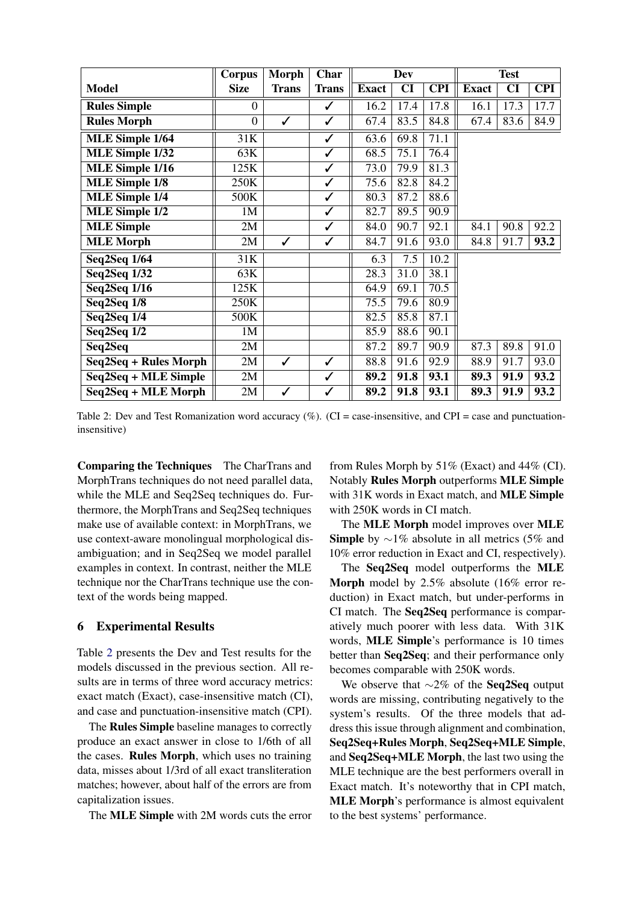<span id="page-3-0"></span>

|                        | <b>Corpus</b>  | <b>Morph</b> | Char         | <b>Dev</b>   |           | <b>Test</b> |              |      |            |
|------------------------|----------------|--------------|--------------|--------------|-----------|-------------|--------------|------|------------|
| <b>Model</b>           | <b>Size</b>    | <b>Trans</b> | <b>Trans</b> | <b>Exact</b> | <b>CI</b> | <b>CPI</b>  | <b>Exact</b> | CI   | <b>CPI</b> |
| <b>Rules Simple</b>    | $\overline{0}$ |              | ✓            | 16.2         | 17.4      | 17.8        | 16.1         | 17.3 | 17.7       |
| <b>Rules Morph</b>     | $\overline{0}$ | ✓            | ✓            | 67.4         | 83.5      | 84.8        | 67.4         | 83.6 | 84.9       |
| <b>MLE Simple 1/64</b> | 31K            |              | ✓            | 63.6         | 69.8      | 71.1        |              |      |            |
| <b>MLE Simple 1/32</b> | 63K            |              | ✓            | 68.5         | 75.1      | 76.4        |              |      |            |
| <b>MLE Simple 1/16</b> | 125K           |              | ✓            | 73.0         | 79.9      | 81.3        |              |      |            |
| <b>MLE</b> Simple 1/8  | 250K           |              | $\checkmark$ | 75.6         | 82.8      | 84.2        |              |      |            |
| <b>MLE Simple 1/4</b>  | 500K           |              | ✓            | 80.3         | 87.2      | 88.6        |              |      |            |
| MLE Simple 1/2         | 1 <sub>M</sub> |              | ✓            | 82.7         | 89.5      | 90.9        |              |      |            |
| <b>MLE Simple</b>      | 2M             |              | ✓            | 84.0         | 90.7      | 92.1        | 84.1         | 90.8 | 92.2       |
| <b>MLE</b> Morph       | 2M             | $\checkmark$ | ✓            | 84.7         | 91.6      | 93.0        | 84.8         | 91.7 | 93.2       |
| Seq2Seq 1/64           | 31K            |              |              | 6.3          | 7.5       | 10.2        |              |      |            |
| <b>Seq2Seq 1/32</b>    | 63K            |              |              | 28.3         | 31.0      | 38.1        |              |      |            |
| <b>Seq2Seq 1/16</b>    | 125K           |              |              | 64.9         | 69.1      | 70.5        |              |      |            |
| Seq2Seq 1/8            | 250K           |              |              | 75.5         | 79.6      | 80.9        |              |      |            |
| Seq2Seq 1/4            | 500K           |              |              | 82.5         | 85.8      | 87.1        |              |      |            |
| Seq2Seq 1/2            | 1M             |              |              | 85.9         | 88.6      | 90.1        |              |      |            |
| Seq2Seq                | 2M             |              |              | 87.2         | 89.7      | 90.9        | 87.3         | 89.8 | 91.0       |
| Seq2Seq + Rules Morph  | 2M             | $\checkmark$ | $\checkmark$ | 88.8         | 91.6      | 92.9        | 88.9         | 91.7 | 93.0       |
| Seq2Seq + MLE Simple   | 2M             |              | ✓            | 89.2         | 91.8      | 93.1        | 89.3         | 91.9 | 93.2       |
| Seq2Seq + MLE Morph    | 2M             | ✓            | ✓            | 89.2         | 91.8      | 93.1        | 89.3         | 91.9 | 93.2       |

Table 2: Dev and Test Romanization word accuracy  $(\%)$ . (CI = case-insensitive, and CPI = case and punctuationinsensitive)

Comparing the Techniques The CharTrans and MorphTrans techniques do not need parallel data, while the MLE and Seq2Seq techniques do. Furthermore, the MorphTrans and Seq2Seq techniques make use of available context: in MorphTrans, we use context-aware monolingual morphological disambiguation; and in Seq2Seq we model parallel examples in context. In contrast, neither the MLE technique nor the CharTrans technique use the context of the words being mapped.

## 6 Experimental Results

Table [2](#page-3-0) presents the Dev and Test results for the models discussed in the previous section. All results are in terms of three word accuracy metrics: exact match (Exact), case-insensitive match (CI), and case and punctuation-insensitive match (CPI).

The Rules Simple baseline manages to correctly produce an exact answer in close to 1/6th of all the cases. Rules Morph, which uses no training data, misses about 1/3rd of all exact transliteration matches; however, about half of the errors are from capitalization issues.

The MLE Simple with 2M words cuts the error

from Rules Morph by  $51\%$  (Exact) and  $44\%$  (CI). Notably Rules Morph outperforms MLE Simple with 31K words in Exact match, and MLE Simple with 250K words in CI match.

The MLE Morph model improves over MLE Simple by  $\sim$ 1% absolute in all metrics (5% and 10% error reduction in Exact and CI, respectively).

The Seq2Seq model outperforms the MLE Morph model by 2.5% absolute (16% error reduction) in Exact match, but under-performs in CI match. The Seq2Seq performance is comparatively much poorer with less data. With 31K words, MLE Simple's performance is 10 times better than Seq2Seq; and their performance only becomes comparable with 250K words.

We observe that ∼2% of the Seq2Seq output words are missing, contributing negatively to the system's results. Of the three models that address this issue through alignment and combination, Seq2Seq+Rules Morph, Seq2Seq+MLE Simple, and Seq2Seq+MLE Morph, the last two using the MLE technique are the best performers overall in Exact match. It's noteworthy that in CPI match, MLE Morph's performance is almost equivalent to the best systems' performance.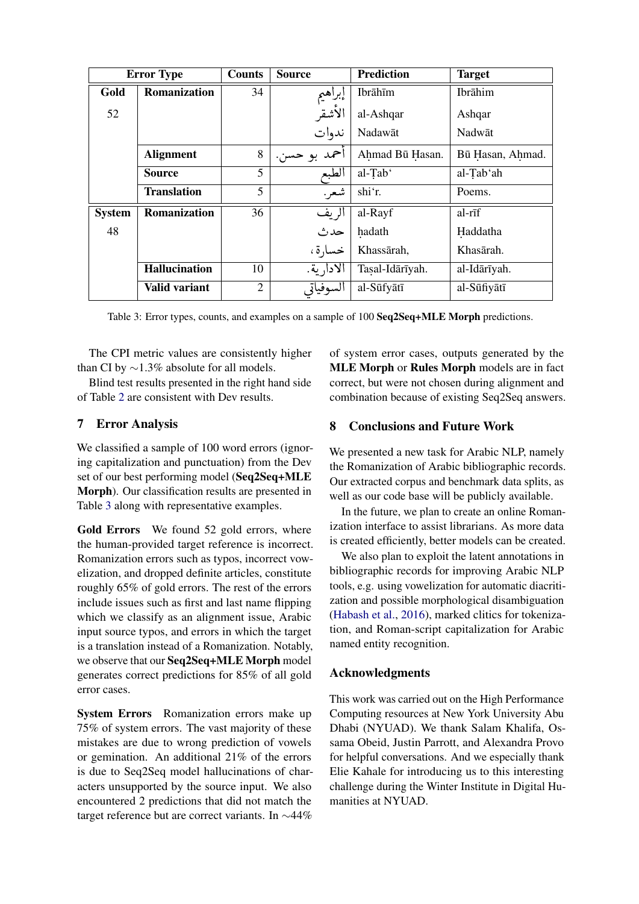<span id="page-4-0"></span>

| <b>Error Type</b> |                      | <b>Counts</b>  | <b>Source</b> | <b>Prediction</b> | <b>Target</b>    |
|-------------------|----------------------|----------------|---------------|-------------------|------------------|
| Gold              | Romanization         | 34             | إبراهيم       | Ibrāhīm           | Ibrāhim          |
| 52                |                      |                | الأشقر        | al-Ashqar         | Ashqar           |
|                   |                      |                | ندوات         | Nadawāt           | Nadwāt           |
|                   | <b>Alignment</b>     | 8              | احمد بو حسن.  | Ahmad Bū Hasan.   | Bū Hasan, Ahmad. |
|                   | <b>Source</b>        | 5              | الطبع         | al-Tab'           | al-Tab'ah        |
|                   | <b>Translation</b>   | 5              | شعر .         | shi'r.            | Poems.           |
| <b>System</b>     | Romanization         | 36             | الريف         | al-Rayf           | al-rīf           |
| 48                |                      |                | حدث           | hadath            | Haddatha         |
|                   |                      |                | خسارة،        | Khassārah,        | Khasārah.        |
|                   | <b>Hallucination</b> | 10             | الادارية.     | Tasal-Idārīyah.   | al-Idārīyah.     |
|                   | Valid variant        | $\overline{2}$ | السوفياتي     | al-Sūfyātī        | al-Sūfiyātī      |

Table 3: Error types, counts, and examples on a sample of 100 Seq2Seq+MLE Morph predictions.

The CPI metric values are consistently higher than CI by  $\sim$ 1.3% absolute for all models.

Blind test results presented in the right hand side of Table 2 are consistent with Dev results.

#### $7<sup>7</sup>$ **Error Analysis**

We classified a sample of 100 word errors (ignoring capitalization and punctuation) from the Dev set of our best performing model (Seq2Seq+MLE Morph). Our classification results are presented in Table 3 along with representative examples.

Gold Errors We found 52 gold errors, where the human-provided target reference is incorrect. Romanization errors such as typos, incorrect vowelization, and dropped definite articles, constitute roughly 65% of gold errors. The rest of the errors include issues such as first and last name flipping which we classify as an alignment issue, Arabic input source typos, and errors in which the target is a translation instead of a Romanization. Notably, we observe that our Seq2Seq+MLE Morph model generates correct predictions for 85% of all gold error cases.

**System Errors** Romanization errors make up 75% of system errors. The vast majority of these mistakes are due to wrong prediction of vowels or gemination. An additional 21% of the errors is due to Seq2Seq model hallucinations of characters unsupported by the source input. We also encountered 2 predictions that did not match the target reference but are correct variants. In  $\sim$ 44% of system error cases, outputs generated by the MLE Morph or Rules Morph models are in fact correct, but were not chosen during alignment and combination because of existing Seq2Seq answers.

#### 8 **Conclusions and Future Work**

We presented a new task for Arabic NLP, namely the Romanization of Arabic bibliographic records. Our extracted corpus and benchmark data splits, as well as our code base will be publicly available.

In the future, we plan to create an online Romanization interface to assist librarians. As more data is created efficiently, better models can be created.

We also plan to exploit the latent annotations in bibliographic records for improving Arabic NLP tools, e.g. using vowelization for automatic diacritization and possible morphological disambiguation (Habash et al., 2016), marked clitics for tokenization, and Roman-script capitalization for Arabic named entity recognition.

# **Acknowledgments**

This work was carried out on the High Performance Computing resources at New York University Abu Dhabi (NYUAD). We thank Salam Khalifa, Ossama Obeid, Justin Parrott, and Alexandra Provo for helpful conversations. And we especially thank Elie Kahale for introducing us to this interesting challenge during the Winter Institute in Digital Humanities at NYUAD.